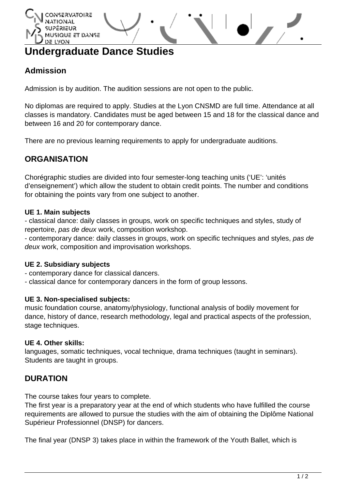# QUE ET DANSE LYON

# **Undergraduate Dance Studies**

# **Admission**

Admission is by audition. The audition sessions are not open to the public.

No diplomas are required to apply. Studies at the Lyon CNSMD are full time. Attendance at all classes is mandatory. Candidates must be aged between 15 and 18 for the classical dance and between 16 and 20 for contemporary dance.

There are no previous learning requirements to apply for undergraduate auditions.

# **ORGANISATION**

Chorégraphic studies are divided into four semester-long teaching units ('UE': 'unités d'enseignement') which allow the student to obtain credit points. The number and conditions for obtaining the points vary from one subject to another.

#### **UE 1. Main subjects**

- classical dance: daily classes in groups, work on specific techniques and styles, study of repertoire, pas de deux work, composition workshop.

- contemporary dance: daily classes in groups, work on specific techniques and styles, pas de deux work, composition and improvisation workshops.

### **UE 2. Subsidiary subjects**

- contemporary dance for classical dancers.
- classical dance for contemporary dancers in the form of group lessons.

#### **UE 3. Non-specialised subjects:**

music foundation course, anatomy/physiology, functional analysis of bodily movement for dance, history of dance, research methodology, legal and practical aspects of the profession, stage techniques.

#### **UE 4. Other skills:**

languages, somatic techniques, vocal technique, drama techniques (taught in seminars). Students are taught in groups.

## **DURATION**

The course takes four years to complete.

The first year is a preparatory year at the end of which students who have fulfilled the course requirements are allowed to pursue the studies with the aim of obtaining the Diplôme National Supérieur Professionnel (DNSP) for dancers.

The final year (DNSP 3) takes place in within the framework of the Youth Ballet, which is